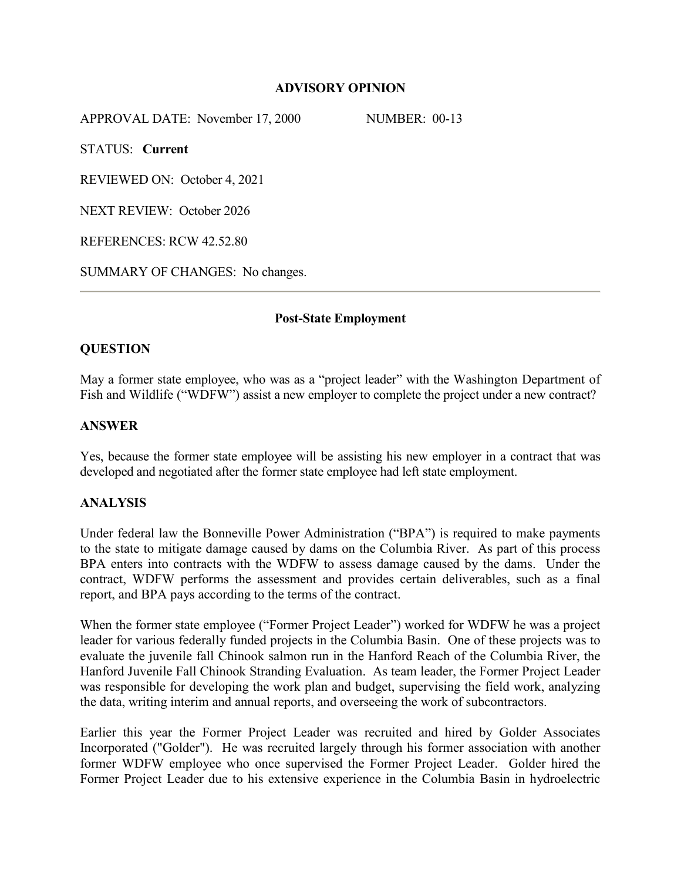# **ADVISORY OPINION**

APPROVAL DATE: November 17, 2000 NUMBER: 00-13

STATUS: **Current**

REVIEWED ON: October 4, 2021

NEXT REVIEW: October 2026

REFERENCES: RCW 42.52.80

SUMMARY OF CHANGES: No changes.

## **Post-State Employment**

# **QUESTION**

May a former state employee, who was as a "project leader" with the Washington Department of Fish and Wildlife ("WDFW") assist a new employer to complete the project under a new contract?

## **ANSWER**

Yes, because the former state employee will be assisting his new employer in a contract that was developed and negotiated after the former state employee had left state employment.

### **ANALYSIS**

Under federal law the Bonneville Power Administration ("BPA") is required to make payments to the state to mitigate damage caused by dams on the Columbia River. As part of this process BPA enters into contracts with the WDFW to assess damage caused by the dams. Under the contract, WDFW performs the assessment and provides certain deliverables, such as a final report, and BPA pays according to the terms of the contract.

When the former state employee ("Former Project Leader") worked for WDFW he was a project leader for various federally funded projects in the Columbia Basin. One of these projects was to evaluate the juvenile fall Chinook salmon run in the Hanford Reach of the Columbia River, the Hanford Juvenile Fall Chinook Stranding Evaluation. As team leader, the Former Project Leader was responsible for developing the work plan and budget, supervising the field work, analyzing the data, writing interim and annual reports, and overseeing the work of subcontractors.

Earlier this year the Former Project Leader was recruited and hired by Golder Associates Incorporated ("Golder"). He was recruited largely through his former association with another former WDFW employee who once supervised the Former Project Leader. Golder hired the Former Project Leader due to his extensive experience in the Columbia Basin in hydroelectric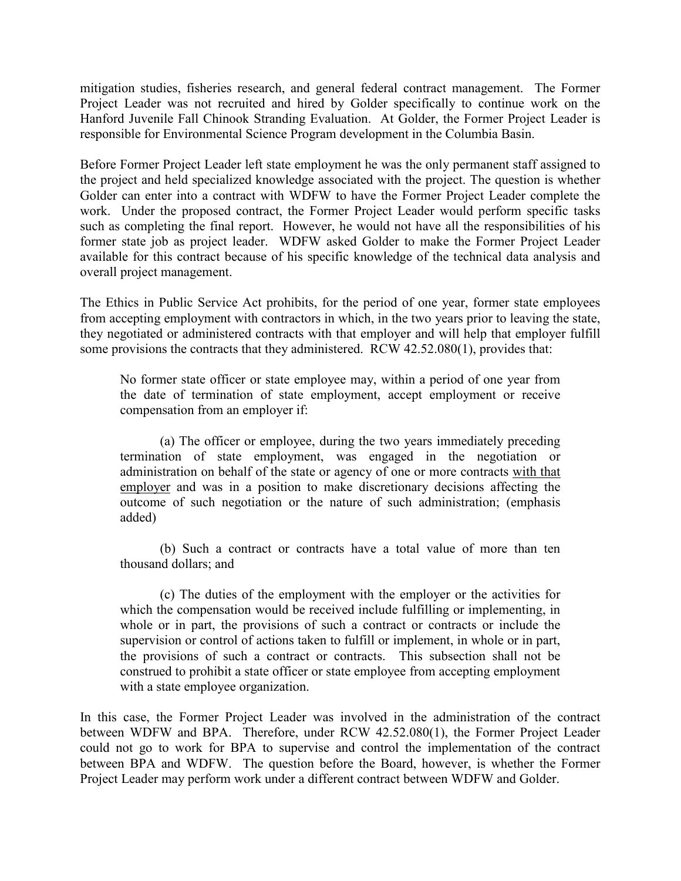mitigation studies, fisheries research, and general federal contract management. The Former Project Leader was not recruited and hired by Golder specifically to continue work on the Hanford Juvenile Fall Chinook Stranding Evaluation. At Golder, the Former Project Leader is responsible for Environmental Science Program development in the Columbia Basin.

Before Former Project Leader left state employment he was the only permanent staff assigned to the project and held specialized knowledge associated with the project. The question is whether Golder can enter into a contract with WDFW to have the Former Project Leader complete the work. Under the proposed contract, the Former Project Leader would perform specific tasks such as completing the final report. However, he would not have all the responsibilities of his former state job as project leader. WDFW asked Golder to make the Former Project Leader available for this contract because of his specific knowledge of the technical data analysis and overall project management.

The Ethics in Public Service Act prohibits, for the period of one year, former state employees from accepting employment with contractors in which, in the two years prior to leaving the state, they negotiated or administered contracts with that employer and will help that employer fulfill some provisions the contracts that they administered. RCW 42.52.080(1), provides that:

No former state officer or state employee may, within a period of one year from the date of termination of state employment, accept employment or receive compensation from an employer if:

(a) The officer or employee, during the two years immediately preceding termination of state employment, was engaged in the negotiation or administration on behalf of the state or agency of one or more contracts with that employer and was in a position to make discretionary decisions affecting the outcome of such negotiation or the nature of such administration; (emphasis added)

(b) Such a contract or contracts have a total value of more than ten thousand dollars; and

(c) The duties of the employment with the employer or the activities for which the compensation would be received include fulfilling or implementing, in whole or in part, the provisions of such a contract or contracts or include the supervision or control of actions taken to fulfill or implement, in whole or in part, the provisions of such a contract or contracts. This subsection shall not be construed to prohibit a state officer or state employee from accepting employment with a state employee organization.

In this case, the Former Project Leader was involved in the administration of the contract between WDFW and BPA. Therefore, under RCW 42.52.080(1), the Former Project Leader could not go to work for BPA to supervise and control the implementation of the contract between BPA and WDFW. The question before the Board, however, is whether the Former Project Leader may perform work under a different contract between WDFW and Golder.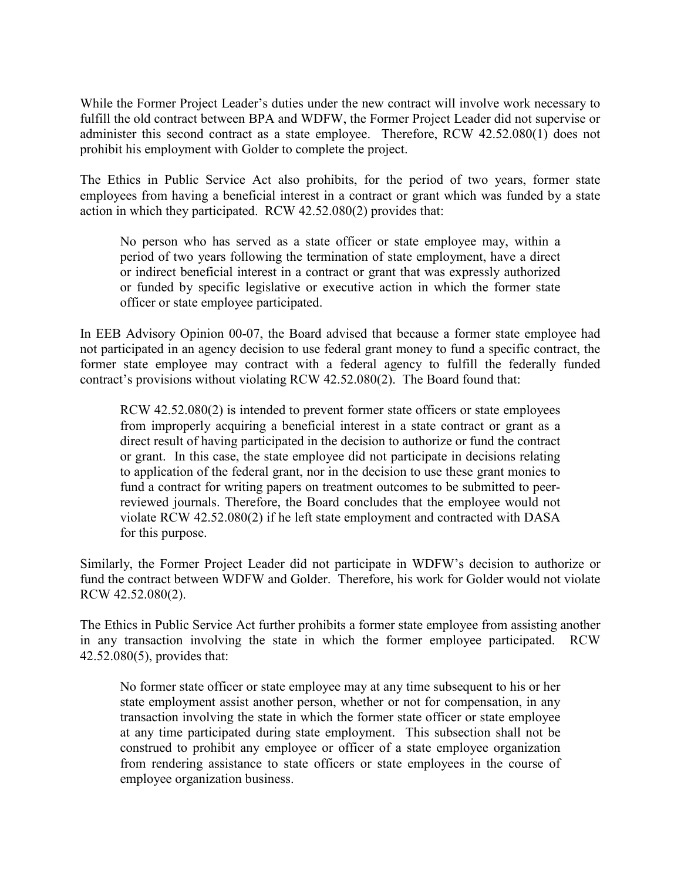While the Former Project Leader's duties under the new contract will involve work necessary to fulfill the old contract between BPA and WDFW, the Former Project Leader did not supervise or administer this second contract as a state employee. Therefore, RCW 42.52.080(1) does not prohibit his employment with Golder to complete the project.

The Ethics in Public Service Act also prohibits, for the period of two years, former state employees from having a beneficial interest in a contract or grant which was funded by a state action in which they participated. RCW 42.52.080(2) provides that:

No person who has served as a state officer or state employee may, within a period of two years following the termination of state employment, have a direct or indirect beneficial interest in a contract or grant that was expressly authorized or funded by specific legislative or executive action in which the former state officer or state employee participated.

In EEB Advisory Opinion 00-07, the Board advised that because a former state employee had not participated in an agency decision to use federal grant money to fund a specific contract, the former state employee may contract with a federal agency to fulfill the federally funded contract's provisions without violating RCW 42.52.080(2). The Board found that:

RCW 42.52.080(2) is intended to prevent former state officers or state employees from improperly acquiring a beneficial interest in a state contract or grant as a direct result of having participated in the decision to authorize or fund the contract or grant. In this case, the state employee did not participate in decisions relating to application of the federal grant, nor in the decision to use these grant monies to fund a contract for writing papers on treatment outcomes to be submitted to peerreviewed journals. Therefore, the Board concludes that the employee would not violate RCW 42.52.080(2) if he left state employment and contracted with DASA for this purpose.

Similarly, the Former Project Leader did not participate in WDFW's decision to authorize or fund the contract between WDFW and Golder. Therefore, his work for Golder would not violate RCW 42.52.080(2).

The Ethics in Public Service Act further prohibits a former state employee from assisting another in any transaction involving the state in which the former employee participated. RCW 42.52.080(5), provides that:

No former state officer or state employee may at any time subsequent to his or her state employment assist another person, whether or not for compensation, in any transaction involving the state in which the former state officer or state employee at any time participated during state employment. This subsection shall not be construed to prohibit any employee or officer of a state employee organization from rendering assistance to state officers or state employees in the course of employee organization business.